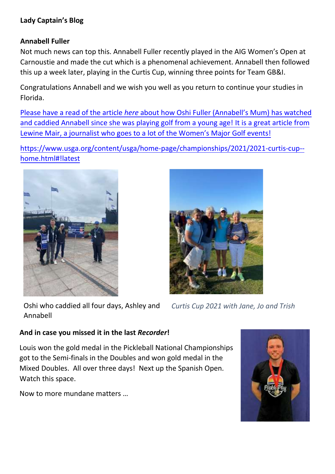#### **Lady Captain's Blog**

#### **Annabell Fuller**

Not much news can top this. Annabell Fuller recently played in the AIG Women's Open at Carnoustie and made the cut which is a phenomenal achievement. Annabell then followed this up a week later, playing in the Curtis Cup, winning three points for Team GB&I.

Congratulations Annabell and we wish you well as you return to continue your studies in Florida.

Please have a read of the article *here* about how Oshi Fuller (Annabell's Mum) has watched [and caddied Annabell since she was playing golf from a young age! It is a great article from](https://read.nxtbook.com/global_golf_post/international/20210830/curtiscup_fuller.html?utm_source=englandgolf&utm_medium=email&utm_campaign=dm-083021-intl&dm_i=4ON0,151LB,3E9L4T,57RPW,1) Lewine Mair, a journalist who goes to a lot of the Women's Major Golf events!

[https://www.usga.org/content/usga/home-page/championships/2021/2021-curtis-cup-](https://www.usga.org/content/usga/home-page/championships/2021/2021-curtis-cup--home.html#!latest) [home.html#!latest](https://www.usga.org/content/usga/home-page/championships/2021/2021-curtis-cup--home.html#!latest)





Oshi who caddied all four days, Ashley and Annabell

*Curtis Cup 2021 with Jane, Jo and Trish*

#### **And in case you missed it in the last** *Recorder***!**

Louis won the gold medal in the Pickleball National Championships got to the Semi-finals in the Doubles and won gold medal in the Mixed Doubles. All over three days! Next up the Spanish Open. Watch this space.

Now to more mundane matters …

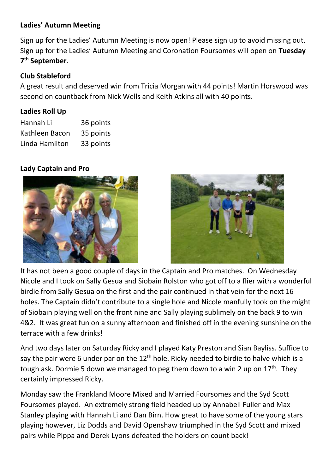#### **Ladies' Autumn Meeting**

Sign up for the Ladies' Autumn Meeting is now open! Please sign up to avoid missing out. Sign up for the Ladies' Autumn Meeting and Coronation Foursomes will open on **Tuesday 7 th September**.

# **Club Stableford**

A great result and deserved win from Tricia Morgan with 44 points! Martin Horswood was second on countback from Nick Wells and Keith Atkins all with 40 points.

## **Ladies Roll Up**

| Hannah Li      | 36 points |
|----------------|-----------|
| Kathleen Bacon | 35 points |
| Linda Hamilton | 33 points |

## **Lady Captain and Pro**





It has not been a good couple of days in the Captain and Pro matches. On Wednesday Nicole and I took on Sally Gesua and Siobain Rolston who got off to a flier with a wonderful birdie from Sally Gesua on the first and the pair continued in that vein for the next 16 holes. The Captain didn't contribute to a single hole and Nicole manfully took on the might of Siobain playing well on the front nine and Sally playing sublimely on the back 9 to win 4&2. It was great fun on a sunny afternoon and finished off in the evening sunshine on the terrace with a few drinks!

And two days later on Saturday Ricky and I played Katy Preston and Sian Bayliss. Suffice to say the pair were 6 under par on the  $12<sup>th</sup>$  hole. Ricky needed to birdie to halve which is a tough ask. Dormie 5 down we managed to peg them down to a win 2 up on 17<sup>th</sup>. They certainly impressed Ricky.

Monday saw the Frankland Moore Mixed and Married Foursomes and the Syd Scott Foursomes played. An extremely strong field headed up by Annabell Fuller and Max Stanley playing with Hannah Li and Dan Birn. How great to have some of the young stars playing however, Liz Dodds and David Openshaw triumphed in the Syd Scott and mixed pairs while Pippa and Derek Lyons defeated the holders on count back!